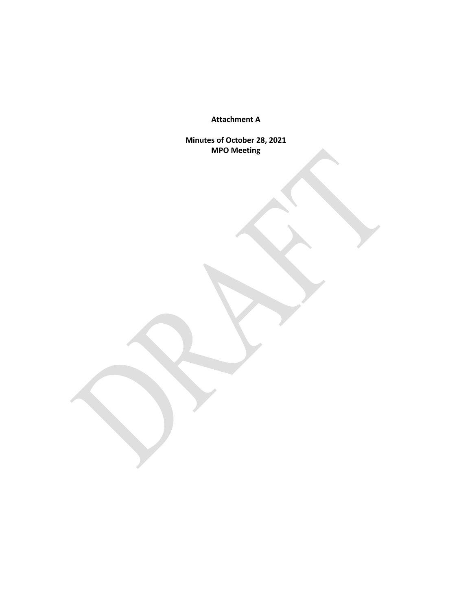**Attachment A**

**Minutes of October 28, 2021 MPO Meeting**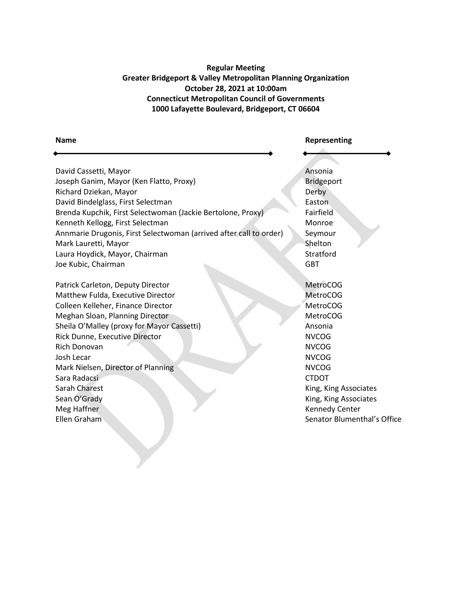# **Regular Meeting Greater Bridgeport & Valley Metropolitan Planning Organization October 28, 2021 at 10:00am Connecticut Metropolitan Council of Governments 1000 Lafayette Boulevard, Bridgeport, CT 06604**

| <b>Name</b>                                                        | Representing                |
|--------------------------------------------------------------------|-----------------------------|
|                                                                    |                             |
| David Cassetti, Mayor                                              | Ansonia                     |
| Joseph Ganim, Mayor (Ken Flatto, Proxy)                            | Bridgeport                  |
| Richard Dziekan, Mayor                                             | Derby                       |
| David Bindelglass, First Selectman                                 | Easton                      |
| Brenda Kupchik, First Selectwoman (Jackie Bertolone, Proxy)        | Fairfield                   |
| Kenneth Kellogg, First Selectman                                   | Monroe                      |
| Annmarie Drugonis, First Selectwoman (arrived after call to order) | Seymour                     |
| Mark Lauretti, Mayor                                               | Shelton                     |
| Laura Hoydick, Mayor, Chairman                                     | Stratford                   |
| Joe Kubic, Chairman                                                | <b>GBT</b>                  |
| Patrick Carleton, Deputy Director                                  | <b>MetroCOG</b>             |
| Matthew Fulda, Executive Director                                  | <b>MetroCOG</b>             |
| Colleen Kelleher, Finance Director                                 | <b>MetroCOG</b>             |
| Meghan Sloan, Planning Director                                    | <b>MetroCOG</b>             |
| Sheila O'Malley (proxy for Mayor Cassetti)                         | Ansonia                     |
| Rick Dunne, Executive Director                                     | <b>NVCOG</b>                |
| Rich Donovan                                                       | <b>NVCOG</b>                |
| Josh Lecar                                                         | <b>NVCOG</b>                |
| Mark Nielsen, Director of Planning                                 | <b>NVCOG</b>                |
| Sara Radacsi                                                       | <b>CTDOT</b>                |
| <b>Sarah Charest</b>                                               | King, King Associates       |
| Sean O'Grady                                                       | King, King Associates       |
| Meg Haffner                                                        | <b>Kennedy Center</b>       |
| Ellen Graham                                                       | Senator Blumenthal's Office |
|                                                                    |                             |
|                                                                    |                             |
|                                                                    |                             |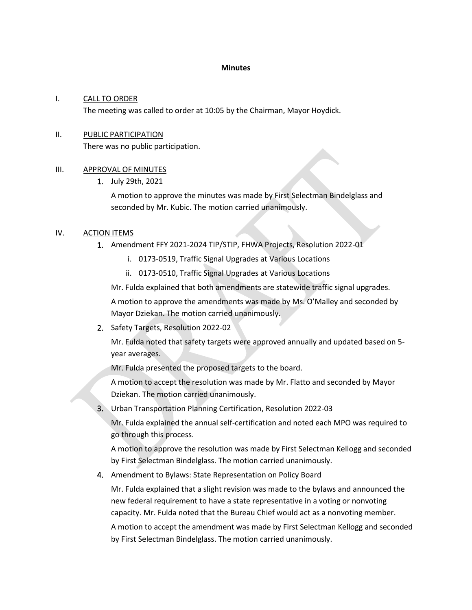#### **Minutes**

#### I. CALL TO ORDER

The meeting was called to order at 10:05 by the Chairman, Mayor Hoydick.

## II. PUBLIC PARTICIPATION

There was no public participation.

## III. APPROVAL OF MINUTES

1. July 29th, 2021

A motion to approve the minutes was made by First Selectman Bindelglass and seconded by Mr. Kubic. The motion carried unanimously.

## IV. ACTION ITEMS

- 1. Amendment FFY 2021-2024 TIP/STIP, FHWA Projects, Resolution 2022-01
	- i. 0173-0519, Traffic Signal Upgrades at Various Locations
	- ii. 0173-0510, Traffic Signal Upgrades at Various Locations

Mr. Fulda explained that both amendments are statewide traffic signal upgrades.

A motion to approve the amendments was made by Ms. O'Malley and seconded by Mayor Dziekan. The motion carried unanimously.

2. Safety Targets, Resolution 2022-02

Mr. Fulda noted that safety targets were approved annually and updated based on 5 year averages.

Mr. Fulda presented the proposed targets to the board.

A motion to accept the resolution was made by Mr. Flatto and seconded by Mayor Dziekan. The motion carried unanimously.

3. Urban Transportation Planning Certification, Resolution 2022-03

Mr. Fulda explained the annual self-certification and noted each MPO was required to go through this process.

A motion to approve the resolution was made by First Selectman Kellogg and seconded by First Selectman Bindelglass. The motion carried unanimously.

4. Amendment to Bylaws: State Representation on Policy Board

Mr. Fulda explained that a slight revision was made to the bylaws and announced the new federal requirement to have a state representative in a voting or nonvoting capacity. Mr. Fulda noted that the Bureau Chief would act as a nonvoting member.

A motion to accept the amendment was made by First Selectman Kellogg and seconded by First Selectman Bindelglass. The motion carried unanimously.